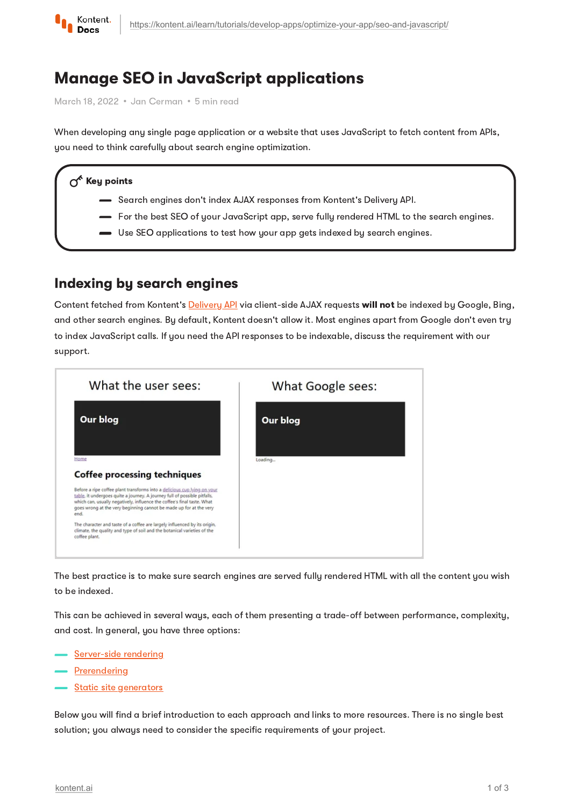

# Manage SEO in JavaScript applications

March 18, 2022 · Jan Cerman · 5 min read

When developing any single page application or a website that uses JavaScript to fetch content from APIs, you need to think carefully about search engine optimization.

#### $\gamma^{\prime}$  Key points

- Search engines don't index AJAX responses from Kontent's Delivery API.
- For the best SEO of your JavaScript app, serve fully rendered HTML to the search engines.
- Use SEO applications to test how your app gets indexed by search engines.

#### Indexing by search engines

Content fetched from Kontent's [Delivery](https://kontent.ai/learn/reference/delivery-api/) API via client-side AJAX requests will not be indexed by Google, Bing, and other search engines. By default, Kontent doesn't allow it. Most engines apart from Google don't even try to index JavaScript calls. If you need the API responses to be indexable, discuss the requirement with our support.



The best practice is to make sure search engines are served fully rendered HTML with all the content you wish to be indexed.

This can be achieved in several ways, each of them presenting a trade-off between performance, complexity, and cost. In general, you have three options:

- [Server-side](#page-1-0) rendering
- **[Prerendering](#page-1-1)**
- **Static site [generators](#page-1-2)**

Below you will find a brief introduction to each approach and links to more resources. There is no single best solution; you always need to consider the specific requirements of your project.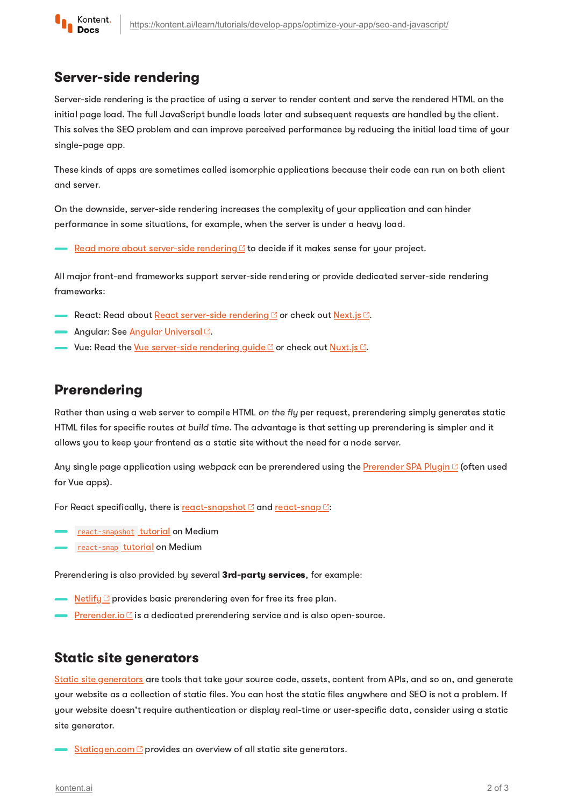

### <span id="page-1-0"></span>Server-side rendering

Server-side rendering is the practice of using a server to render content and serve the rendered HTML on the initial page load. The full JavaScript bundle loads later and subsequent requests are handled by the client. This solves the SEO problem and can improve perceived performance by reducing the initial load time of your single-page app.

These kinds of apps are sometimes called isomorphic applications because their code can run on both client and server.

On the downside, server-side rendering increases the complexity of your application and can hinder performance in some situations, for example, when the server is under a heavy load.

Read more about [server-side](https://www.javascriptstuff.com/server-side-render/) rendering  $\mathcal{B}$  to decide if it makes sense for your project.

All major front-end frameworks support server-side rendering or provide dedicated server-side rendering frameworks:

- React: Read about React [server-side](https://medium.freecodecamp.org/demystifying-reacts-server-side-render-de335d408fe4) rendering or check out [Next.js](https://nextjs.org/learn/basics/create-nextjs-app) .
- Angular: See <u>Angular [Universal](https://angular.io/guide/universal) <mark>C</mark></u>.
- Vue: Read the <u>Vue [server-side](https://vuejs.org/guide/scaling-up/ssr.html) rendering quide  $\mathbb C$ </u> or check out <u>[Nuxt.js](https://nuxtjs.org/)  $\mathbb C.$ </u>

### <span id="page-1-1"></span>Prerendering

Rather than using a web server to compile HTML on the fly per request, prerendering simply generates static HTML files for specific routes at build time. The advantage is that setting up prerendering is simpler and it allows you to keep your frontend as a static site without the need for a node server.

Any single page application using webpack can be prerendered using the [Prerender](https://github.com/chrisvfritz/prerender-spa-plugin#readme) SPA Plugin C (often used for Vue apps).

For React specifically, there is [react-snapshot](https://github.com/geelen/react-snapshot)  $\mathbb C$  and [react-snap](https://github.com/stereobooster/react-snap)  $\mathbb C$ :

- [react-snapshot](https://medium.com/superhighfives/an-almost-static-stack-6df0a2791319) tutorial on Medium
- [react-snap](https://itnext.io/pre-rendering-your-react-application-with-react-snap-234e2408ed39) tutorial on Medium

Prerendering is also provided by several 3rd-party services, for example:

- [Netlify](https://www.netlify.com/docs/prerendering/)  $\mathcal{C}$  provides basic prerendering even for free its free plan.
- [Prerender.io](https://prerender.io/)  $\mathbb G$  is a dedicated prerendering service and is also open-source.

#### <span id="page-1-2"></span>Static site generators

Static site [generators](https://kontent.ai/learn/tutorials/develop-apps/optimize-your-app/static-sites/) are tools that take your source code, assets, content from APIs, and so on, and generate your website as a collection of static files. You can host the static files anywhere and SEO is not a problem. If your website doesn't require authentication or display real-time or user-specific data, consider using a static site generator.

 $\frac{\text{Staticgen.com}}{}{C}$  $\frac{\text{Staticgen.com}}{}{C}$  $\frac{\text{Staticgen.com}}{}{C}$  provides an overview of all static site generators.